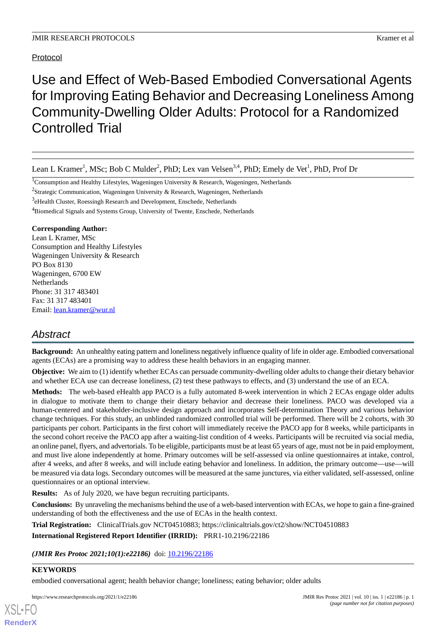# Protocol

# Use and Effect of Web-Based Embodied Conversational Agents for Improving Eating Behavior and Decreasing Loneliness Among Community-Dwelling Older Adults: Protocol for a Randomized Controlled Trial

Lean L Kramer<sup>1</sup>, MSc; Bob C Mulder<sup>2</sup>, PhD; Lex van Velsen<sup>3,4</sup>, PhD; Emely de Vet<sup>1</sup>, PhD, Prof Dr

<sup>2</sup>Strategic Communication, Wageningen University & Research, Wageningen, Netherlands

<sup>4</sup>Biomedical Signals and Systems Group, University of Twente, Enschede, Netherlands

# **Corresponding Author:**

Lean L Kramer, MSc Consumption and Healthy Lifestyles Wageningen University & Research PO Box 8130 Wageningen, 6700 EW Netherlands Phone: 31 317 483401 Fax: 31 317 483401 Email: [lean.kramer@wur.nl](mailto:lean.kramer@wur.nl)

# *Abstract*

**Background:** An unhealthy eating pattern and loneliness negatively influence quality of life in older age. Embodied conversational agents (ECAs) are a promising way to address these health behaviors in an engaging manner.

**Objective:** We aim to (1) identify whether ECAs can persuade community-dwelling older adults to change their dietary behavior and whether ECA use can decrease loneliness, (2) test these pathways to effects, and (3) understand the use of an ECA.

**Methods:** The web-based eHealth app PACO is a fully automated 8-week intervention in which 2 ECAs engage older adults in dialogue to motivate them to change their dietary behavior and decrease their loneliness. PACO was developed via a human-centered and stakeholder-inclusive design approach and incorporates Self-determination Theory and various behavior change techniques. For this study, an unblinded randomized controlled trial will be performed. There will be 2 cohorts, with 30 participants per cohort. Participants in the first cohort will immediately receive the PACO app for 8 weeks, while participants in the second cohort receive the PACO app after a waiting-list condition of 4 weeks. Participants will be recruited via social media, an online panel, flyers, and advertorials. To be eligible, participants must be at least 65 years of age, must not be in paid employment, and must live alone independently at home. Primary outcomes will be self-assessed via online questionnaires at intake, control, after 4 weeks, and after 8 weeks, and will include eating behavior and loneliness. In addition, the primary outcome—use—will be measured via data logs. Secondary outcomes will be measured at the same junctures, via either validated, self-assessed, online questionnaires or an optional interview.

**Results:** As of July 2020, we have begun recruiting participants.

**Conclusions:** By unraveling the mechanisms behind the use of a web-based intervention with ECAs, we hope to gain a fine-grained understanding of both the effectiveness and the use of ECAs in the health context.

**Trial Registration:** ClinicalTrials.gov NCT04510883; https://clinicaltrials.gov/ct2/show/NCT04510883

**International Registered Report Identifier (IRRID):** PRR1-10.2196/22186

(JMIR Res Protoc 2021;10(1):e22186) doi: [10.2196/22186](http://dx.doi.org/10.2196/22186)

# **KEYWORDS**

[XSL](http://www.w3.org/Style/XSL)•FO **[RenderX](http://www.renderx.com/)**

embodied conversational agent; health behavior change; loneliness; eating behavior; older adults

https://www.researchprotocols.org/2021/1/e22186 JMIR Res Protoc 2021 | vol. 10 | iss. 1 | e22186 | p. 1

<sup>&</sup>lt;sup>1</sup>Consumption and Healthy Lifestyles, Wageningen University & Research, Wageningen, Netherlands

<sup>&</sup>lt;sup>3</sup>eHealth Cluster, Roessingh Research and Development, Enschede, Netherlands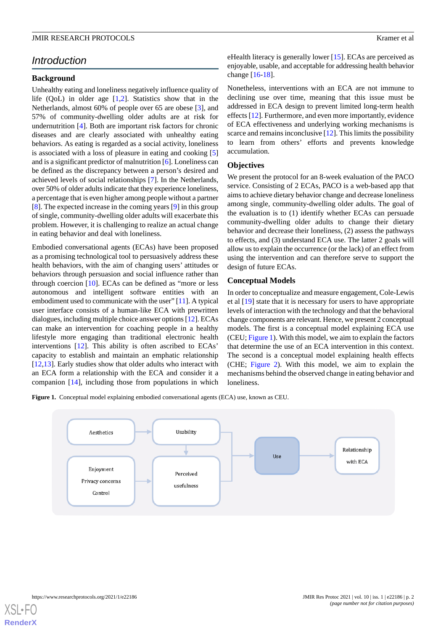# *Introduction*

#### **Background**

Unhealthy eating and loneliness negatively influence quality of life  $(OoL)$  in older age  $[1,2]$  $[1,2]$  $[1,2]$  $[1,2]$ . Statistics show that in the Netherlands, almost 60% of people over 65 are obese [[3\]](#page-8-2), and 57% of community-dwelling older adults are at risk for undernutrition [[4\]](#page-8-3). Both are important risk factors for chronic diseases and are clearly associated with unhealthy eating behaviors. As eating is regarded as a social activity, loneliness is associated with a loss of pleasure in eating and cooking [\[5](#page-8-4)] and is a significant predictor of malnutrition [\[6](#page-8-5)]. Loneliness can be defined as the discrepancy between a person's desired and achieved levels of social relationships [[7\]](#page-8-6). In the Netherlands, over 50% of older adults indicate that they experience loneliness, a percentage that is even higher among people without a partner [[8\]](#page-8-7). The expected increase in the coming years [[9](#page-8-8)] in this group of single, community-dwelling older adults will exacerbate this problem. However, it is challenging to realize an actual change in eating behavior and deal with loneliness.

Embodied conversational agents (ECAs) have been proposed as a promising technological tool to persuasively address these health behaviors, with the aim of changing users' attitudes or behaviors through persuasion and social influence rather than through coercion [[10\]](#page-8-9). ECAs can be defined as "more or less autonomous and intelligent software entities with an embodiment used to communicate with the user" [\[11](#page-8-10)]. A typical user interface consists of a human-like ECA with prewritten dialogues, including multiple choice answer options [\[12](#page-8-11)]. ECAs can make an intervention for coaching people in a healthy lifestyle more engaging than traditional electronic health interventions [[12\]](#page-8-11). This ability is often ascribed to ECAs' capacity to establish and maintain an emphatic relationship [[12](#page-8-11)[,13](#page-8-12)]. Early studies show that older adults who interact with an ECA form a relationship with the ECA and consider it a companion [\[14](#page-8-13)], including those from populations in which

eHealth literacy is generally lower [\[15](#page-9-0)]. ECAs are perceived as enjoyable, usable, and acceptable for addressing health behavior change [[16-](#page-9-1)[18](#page-9-2)].

Nonetheless, interventions with an ECA are not immune to declining use over time, meaning that this issue must be addressed in ECA design to prevent limited long-term health effects [\[12](#page-8-11)]. Furthermore, and even more importantly, evidence of ECA effectiveness and underlying working mechanisms is scarce and remains inconclusive [\[12](#page-8-11)]. This limits the possibility to learn from others' efforts and prevents knowledge accumulation.

# **Objectives**

We present the protocol for an 8-week evaluation of the PACO service. Consisting of 2 ECAs, PACO is a web-based app that aims to achieve dietary behavior change and decrease loneliness among single, community-dwelling older adults. The goal of the evaluation is to (1) identify whether ECAs can persuade community-dwelling older adults to change their dietary behavior and decrease their loneliness, (2) assess the pathways to effects, and (3) understand ECA use. The latter 2 goals will allow us to explain the occurrence (or the lack) of an effect from using the intervention and can therefore serve to support the design of future ECAs.

# **Conceptual Models**

In order to conceptualize and measure engagement, Cole-Lewis et al [\[19](#page-9-3)] state that it is necessary for users to have appropriate levels of interaction with the technology and that the behavioral change components are relevant. Hence, we present 2 conceptual models. The first is a conceptual model explaining ECA use (CEU; [Figure 1\)](#page-1-0). With this model, we aim to explain the factors that determine the use of an ECA intervention in this context. The second is a conceptual model explaining health effects (CHE; [Figure 2\)](#page-2-0). With this model, we aim to explain the mechanisms behind the observed change in eating behavior and loneliness.

<span id="page-1-0"></span>Figure 1. Conceptual model explaining embodied conversational agents (ECA) use, known as CEU.



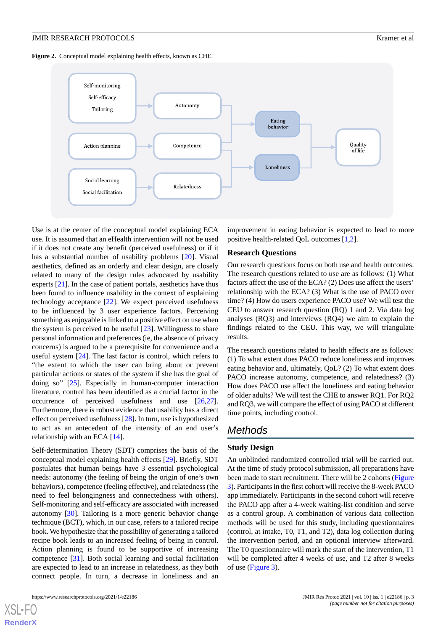<span id="page-2-0"></span>Figure 2. Conceptual model explaining health effects, known as CHE.



Use is at the center of the conceptual model explaining ECA use. It is assumed that an eHealth intervention will not be used if it does not create any benefit (perceived usefulness) or if it has a substantial number of usability problems [\[20](#page-9-4)]. Visual aesthetics, defined as an orderly and clear design, are closely related to many of the design rules advocated by usability experts [[21\]](#page-9-5). In the case of patient portals, aesthetics have thus been found to influence usability in the context of explaining technology acceptance [[22\]](#page-9-6). We expect perceived usefulness to be influenced by 3 user experience factors. Perceiving something as enjoyable is linked to a positive effect on use when the system is perceived to be useful [[23\]](#page-9-7). Willingness to share personal information and preferences (ie, the absence of privacy concerns) is argued to be a prerequisite for convenience and a useful system [[24\]](#page-9-8). The last factor is control, which refers to "the extent to which the user can bring about or prevent particular actions or states of the system if she has the goal of doing so" [\[25](#page-9-9)]. Especially in human-computer interaction literature, control has been identified as a crucial factor in the occurrence of perceived usefulness and use [\[26](#page-9-10),[27\]](#page-9-11). Furthermore, there is robust evidence that usability has a direct effect on perceived usefulness [\[28](#page-9-12)]. In turn, use is hypothesized to act as an antecedent of the intensity of an end user's relationship with an ECA [\[14](#page-8-13)].

Self-determination Theory (SDT) comprises the basis of the conceptual model explaining health effects [\[29](#page-9-13)]. Briefly, SDT postulates that human beings have 3 essential psychological needs: autonomy (the feeling of being the origin of one's own behaviors), competence (feeling effective), and relatedness (the need to feel belongingness and connectedness with others). Self-monitoring and self-efficacy are associated with increased autonomy [[30\]](#page-9-14). Tailoring is a more generic behavior change technique (BCT), which, in our case, refers to a tailored recipe book. We hypothesize that the possibility of generating a tailored recipe book leads to an increased feeling of being in control. Action planning is found to be supportive of increasing competence [\[31](#page-9-15)]. Both social learning and social facilitation are expected to lead to an increase in relatedness, as they both connect people. In turn, a decrease in loneliness and an

[XSL](http://www.w3.org/Style/XSL)•FO **[RenderX](http://www.renderx.com/)**

improvement in eating behavior is expected to lead to more positive health-related QoL outcomes [[1](#page-8-0)[,2](#page-8-1)].

#### **Research Questions**

Our research questions focus on both use and health outcomes. The research questions related to use are as follows: (1) What factors affect the use of the ECA? (2) Does use affect the users' relationship with the ECA? (3) What is the use of PACO over time? (4) How do users experience PACO use? We will test the CEU to answer research question (RQ) 1 and 2. Via data log analyses (RQ3) and interviews (RQ4) we aim to explain the findings related to the CEU. This way, we will triangulate results.

The research questions related to health effects are as follows: (1) To what extent does PACO reduce loneliness and improves eating behavior and, ultimately, QoL? (2) To what extent does PACO increase autonomy, competence, and relatedness? (3) How does PACO use affect the loneliness and eating behavior of older adults? We will test the CHE to answer RQ1. For RQ2 and RQ3, we will compare the effect of using PACO at different time points, including control.

# *Methods*

# **Study Design**

An unblinded randomized controlled trial will be carried out. At the time of study protocol submission, all preparations have been made to start recruitment. There will be 2 cohorts ([Figure](#page-3-0) [3\)](#page-3-0). Participants in the first cohort will receive the 8-week PACO app immediately. Participants in the second cohort will receive the PACO app after a 4-week waiting-list condition and serve as a control group. A combination of various data collection methods will be used for this study, including questionnaires (control, at intake, T0, T1, and T2), data log collection during the intervention period, and an optional interview afterward. The T0 questionnaire will mark the start of the intervention, T1 will be completed after 4 weeks of use, and T2 after 8 weeks of use ([Figure 3](#page-3-0)).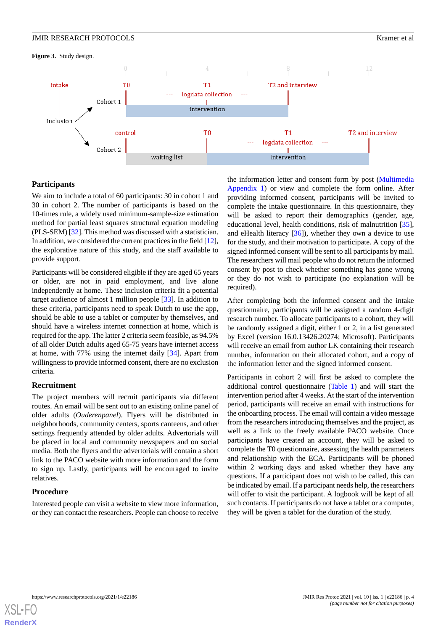#### JMIR RESEARCH PROTOCOLS Kramer et al

<span id="page-3-0"></span>**Figure 3.** Study design.



# **Participants**

We aim to include a total of 60 participants: 30 in cohort 1 and 30 in cohort 2. The number of participants is based on the 10-times rule, a widely used minimum-sample-size estimation method for partial least squares structural equation modeling (PLS-SEM) [\[32](#page-9-16)]. This method was discussed with a statistician. In addition, we considered the current practices in the field [\[12\]](#page-8-11), the explorative nature of this study, and the staff available to provide support.

Participants will be considered eligible if they are aged 65 years or older, are not in paid employment, and live alone independently at home. These inclusion criteria fit a potential target audience of almost 1 million people [[33\]](#page-9-17). In addition to these criteria, participants need to speak Dutch to use the app, should be able to use a tablet or computer by themselves, and should have a wireless internet connection at home, which is required for the app. The latter 2 criteria seem feasible, as 94.5% of all older Dutch adults aged 65-75 years have internet access at home, with 77% using the internet daily [\[34](#page-9-18)]. Apart from willingness to provide informed consent, there are no exclusion criteria.

#### **Recruitment**

The project members will recruit participants via different routes. An email will be sent out to an existing online panel of older adults (*Ouderenpanel*). Flyers will be distributed in neighborhoods, community centers, sports canteens, and other settings frequently attended by older adults. Advertorials will be placed in local and community newspapers and on social media. Both the flyers and the advertorials will contain a short link to the PACO website with more information and the form to sign up. Lastly, participants will be encouraged to invite relatives.

#### **Procedure**

Interested people can visit a website to view more information, or they can contact the researchers. People can choose to receive the information letter and consent form by post [\(Multimedia](#page-8-14) [Appendix 1\)](#page-8-14) or view and complete the form online. After providing informed consent, participants will be invited to complete the intake questionnaire. In this questionnaire, they will be asked to report their demographics (gender, age, educational level, health conditions, risk of malnutrition [[35\]](#page-9-19), and eHealth literacy  $[36]$  $[36]$ ), whether they own a device to use for the study, and their motivation to participate. A copy of the signed informed consent will be sent to all participants by mail. The researchers will mail people who do not return the informed consent by post to check whether something has gone wrong or they do not wish to participate (no explanation will be required).

After completing both the informed consent and the intake questionnaire, participants will be assigned a random 4-digit research number. To allocate participants to a cohort, they will be randomly assigned a digit, either 1 or 2, in a list generated by Excel (version 16.0.13426.20274; Microsoft). Participants will receive an email from author LK containing their research number, information on their allocated cohort, and a copy of the information letter and the signed informed consent.

Participants in cohort 2 will first be asked to complete the additional control questionnaire ([Table 1](#page-4-0)) and will start the intervention period after 4 weeks. At the start of the intervention period, participants will receive an email with instructions for the onboarding process. The email will contain a video message from the researchers introducing themselves and the project, as well as a link to the freely available PACO website. Once participants have created an account, they will be asked to complete the T0 questionnaire, assessing the health parameters and relationship with the ECA. Participants will be phoned within 2 working days and asked whether they have any questions. If a participant does not wish to be called, this can be indicated by email. If a participant needs help, the researchers will offer to visit the participant. A logbook will be kept of all such contacts. If participants do not have a tablet or a computer, they will be given a tablet for the duration of the study.

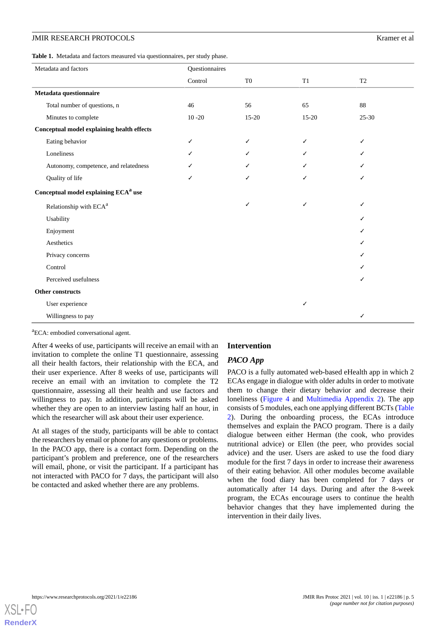#### JMIR RESEARCH PROTOCOLS Kramer et al

<span id="page-4-0"></span>

| Table 1. Metadata and factors measured via questionnaires, per study phase. |  |
|-----------------------------------------------------------------------------|--|
|-----------------------------------------------------------------------------|--|

| Metadata and factors                              | Questionnaires |                |           |                |  |
|---------------------------------------------------|----------------|----------------|-----------|----------------|--|
|                                                   | Control        | T <sub>0</sub> | T1        | T <sub>2</sub> |  |
| Metadata questionnaire                            |                |                |           |                |  |
| Total number of questions, n                      | 46             | 56             | 65        | 88             |  |
| Minutes to complete                               | $10 - 20$      | 15-20          | $15 - 20$ | $25 - 30$      |  |
| <b>Conceptual model explaining health effects</b> |                |                |           |                |  |
| Eating behavior                                   | ✓              | ✓              | ✓         | ✓              |  |
| Loneliness                                        |                |                |           |                |  |
| Autonomy, competence, and relatedness             |                |                |           |                |  |
| Quality of life                                   | ✓              | ✓              |           |                |  |
| Conceptual model explaining ECA <sup>a</sup> use  |                |                |           |                |  |
| Relationship with ECA <sup>a</sup>                |                | ✓              | ✓         | ✓              |  |
| Usability                                         |                |                |           | ✓              |  |
| Enjoyment                                         |                |                |           |                |  |
| Aesthetics                                        |                |                |           | ✓              |  |
| Privacy concerns                                  |                |                |           |                |  |
| Control                                           |                |                |           |                |  |
| Perceived usefulness                              |                |                |           |                |  |
| Other constructs                                  |                |                |           |                |  |
| User experience                                   |                |                | ✓         |                |  |
| Willingness to pay                                |                |                |           | ✓              |  |

<sup>a</sup>ECA: embodied conversational agent.

After 4 weeks of use, participants will receive an email with an invitation to complete the online T1 questionnaire, assessing all their health factors, their relationship with the ECA, and their user experience. After 8 weeks of use, participants will receive an email with an invitation to complete the T2 questionnaire, assessing all their health and use factors and willingness to pay. In addition, participants will be asked whether they are open to an interview lasting half an hour, in which the researcher will ask about their user experience.

At all stages of the study, participants will be able to contact the researchers by email or phone for any questions or problems. In the PACO app, there is a contact form. Depending on the participant's problem and preference, one of the researchers will email, phone, or visit the participant. If a participant has not interacted with PACO for 7 days, the participant will also be contacted and asked whether there are any problems.

#### **Intervention**

# *PACO App*

PACO is a fully automated web-based eHealth app in which 2 ECAs engage in dialogue with older adults in order to motivate them to change their dietary behavior and decrease their loneliness [\(Figure 4](#page-5-0) and [Multimedia Appendix 2\)](#page-8-15). The app consists of 5 modules, each one applying different BCTs ([Table](#page-5-1) [2\)](#page-5-1). During the onboarding process, the ECAs introduce themselves and explain the PACO program. There is a daily dialogue between either Herman (the cook, who provides nutritional advice) or Ellen (the peer, who provides social advice) and the user. Users are asked to use the food diary module for the first 7 days in order to increase their awareness of their eating behavior. All other modules become available when the food diary has been completed for 7 days or automatically after 14 days. During and after the 8-week program, the ECAs encourage users to continue the health behavior changes that they have implemented during the intervention in their daily lives.

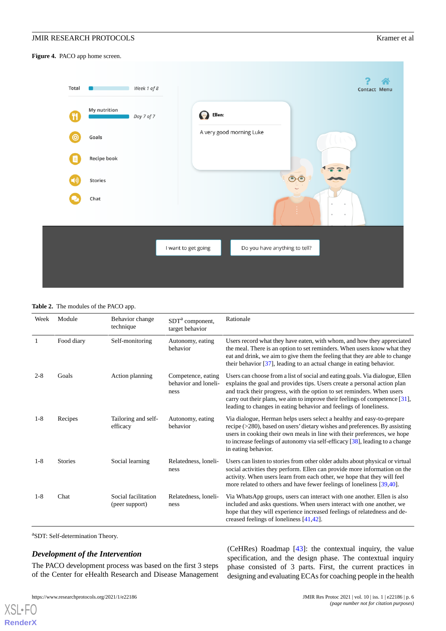<span id="page-5-0"></span>**Figure 4.** PACO app home screen.



#### <span id="page-5-1"></span>**Table 2.** The modules of the PACO app.

| Week    | Module         | Behavior change<br>technique          | SDT <sup>a</sup> component,<br>target behavior     | Rationale                                                                                                                                                                                                                                                                                                                                                                              |
|---------|----------------|---------------------------------------|----------------------------------------------------|----------------------------------------------------------------------------------------------------------------------------------------------------------------------------------------------------------------------------------------------------------------------------------------------------------------------------------------------------------------------------------------|
| 1       | Food diary     | Self-monitoring                       | Autonomy, eating<br>behavior                       | Users record what they have eaten, with whom, and how they appreciated<br>the meal. There is an option to set reminders. When users know what they<br>eat and drink, we aim to give them the feeling that they are able to change<br>their behavior $[37]$ , leading to an actual change in eating behavior.                                                                           |
| $2 - 8$ | Goals          | Action planning                       | Competence, eating<br>behavior and loneli-<br>ness | Users can choose from a list of social and eating goals. Via dialogue, Ellen<br>explains the goal and provides tips. Users create a personal action plan<br>and track their progress, with the option to set reminders. When users<br>carry out their plans, we aim to improve their feelings of competence [31],<br>leading to changes in eating behavior and feelings of loneliness. |
| $1 - 8$ | Recipes        | Tailoring and self-<br>efficacy       | Autonomy, eating<br>behavior                       | Via dialogue, Herman helps users select a healthy and easy-to-prepare<br>recipe (>280), based on users' dietary wishes and preferences. By assisting<br>users in cooking their own meals in line with their preferences, we hope<br>to increase feelings of autonomy via self-efficacy [38], leading to a change<br>in eating behavior.                                                |
| $1 - 8$ | <b>Stories</b> | Social learning                       | Relatedness, loneli-<br>ness                       | Users can listen to stories from other older adults about physical or virtual<br>social activities they perform. Ellen can provide more information on the<br>activity. When users learn from each other, we hope that they will feel<br>more related to others and have fewer feelings of loneliness [39,40].                                                                         |
| $1 - 8$ | Chat           | Social facilitation<br>(peer support) | Relatedness, loneli-<br>ness                       | Via WhatsApp groups, users can interact with one another. Ellen is also<br>included and asks questions. When users interact with one another, we<br>hope that they will experience increased feelings of relatedness and de-<br>creased feelings of loneliness [41,42].                                                                                                                |

a SDT: Self-determination Theory.

# *Development of the Intervention*

The PACO development process was based on the first 3 steps of the Center for eHealth Research and Disease Management

https://www.researchprotocols.org/2021/1/e22186 JMIR Res Protoc 2021 | vol. 10 | iss. 1 | e22186 | p. 6

[XSL](http://www.w3.org/Style/XSL)•FO **[RenderX](http://www.renderx.com/)** (CeHRes) Roadmap [[43\]](#page-10-2): the contextual inquiry, the value specification, and the design phase. The contextual inquiry phase consisted of 3 parts. First, the current practices in designing and evaluating ECAs for coaching people in the health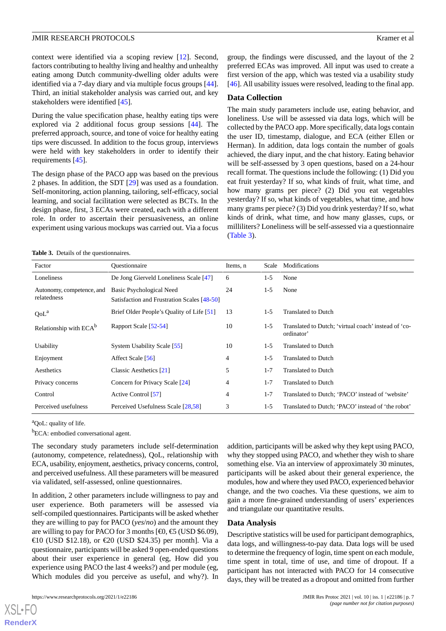context were identified via a scoping review [\[12](#page-8-11)]. Second, factors contributing to healthy living and healthy and unhealthy eating among Dutch community-dwelling older adults were identified via a 7-day diary and via multiple focus groups [[44\]](#page-10-3). Third, an initial stakeholder analysis was carried out, and key stakeholders were identified [[45\]](#page-10-4).

During the value specification phase, healthy eating tips were explored via 2 additional focus group sessions [[44\]](#page-10-3). The preferred approach, source, and tone of voice for healthy eating tips were discussed. In addition to the focus group, interviews were held with key stakeholders in order to identify their requirements [[45\]](#page-10-4).

The design phase of the PACO app was based on the previous 2 phases. In addition, the SDT [[29\]](#page-9-13) was used as a foundation. Self-monitoring, action planning, tailoring, self-efficacy, social learning, and social facilitation were selected as BCTs. In the design phase, first, 3 ECAs were created, each with a different role. In order to ascertain their persuasiveness, an online experiment using various mockups was carried out. Via a focus

group, the findings were discussed, and the layout of the 2 preferred ECAs was improved. All input was used to create a first version of the app, which was tested via a usability study [[46\]](#page-10-5). All usability issues were resolved, leading to the final app.

#### **Data Collection**

The main study parameters include use, eating behavior, and loneliness. Use will be assessed via data logs, which will be collected by the PACO app. More specifically, data logs contain the user ID, timestamp, dialogue, and ECA (either Ellen or Herman). In addition, data logs contain the number of goals achieved, the diary input, and the chat history. Eating behavior will be self-assessed by 3 open questions, based on a 24-hour recall format. The questions include the following: (1) Did you eat fruit yesterday? If so, what kinds of fruit, what time, and how many grams per piece? (2) Did you eat vegetables yesterday? If so, what kinds of vegetables, what time, and how many grams per piece? (3) Did you drink yesterday? If so, what kinds of drink, what time, and how many glasses, cups, or milliliters? Loneliness will be self-assessed via a questionnaire ([Table 3](#page-6-0)).

<span id="page-6-0"></span>

| Factor                                   | Ouestionnaire                                                           | Items, n | Scale   | Modifications                                                      |
|------------------------------------------|-------------------------------------------------------------------------|----------|---------|--------------------------------------------------------------------|
| Loneliness                               | De Jong Gierveld Loneliness Scale [47]                                  | 6        | $1-5$   | None                                                               |
| Autonomy, competence, and<br>relatedness | Basic Psychological Need<br>Satisfaction and Frustration Scales [48-50] | 24       | $1-5$   | None                                                               |
| QoL <sup>a</sup>                         | Brief Older People's Quality of Life [51]                               | 13       | $1-5$   | <b>Translated to Dutch</b>                                         |
| Relationship with ECA <sup>b</sup>       | Rapport Scale [52-54]                                                   | 10       | $1-5$   | Translated to Dutch; 'virtual coach' instead of 'co-<br>ordinator' |
| Usability                                | System Usability Scale [55]                                             | 10       | $1-5$   | <b>Translated to Dutch</b>                                         |
| Enjoyment                                | Affect Scale [56]                                                       | 4        | $1-5$   | <b>Translated to Dutch</b>                                         |
| Aesthetics                               | Classic Aesthetics [21]                                                 | 5        | $1 - 7$ | <b>Translated to Dutch</b>                                         |
| Privacy concerns                         | Concern for Privacy Scale [24]                                          | 4        | $1 - 7$ | <b>Translated to Dutch</b>                                         |
| Control                                  | Active Control [57]                                                     | 4        | $1 - 7$ | Translated to Dutch; 'PACO' instead of 'website'                   |
| Perceived usefulness                     | Perceived Usefulness Scale [28,58]                                      | 3        | $1-5$   | Translated to Dutch; 'PACO' instead of 'the robot'                 |

<sup>a</sup>QoL: quality of life.

<sup>b</sup>ECA: embodied conversational agent.

The secondary study parameters include self-determination (autonomy, competence, relatedness), QoL, relationship with ECA, usability, enjoyment, aesthetics, privacy concerns, control, and perceived usefulness. All these parameters will be measured via validated, self-assessed, online questionnaires.

In addition, 2 other parameters include willingness to pay and user experience. Both parameters will be assessed via self-compiled questionnaires. Participants will be asked whether they are willing to pay for PACO (*yes*/*no*) and the amount they are willing to pay for PACO for 3 months  $[40, 65 \text{ (USD 36.09)}]$ €10 (USD \$12.18), or €20 (USD \$24.35) per month]. Via a questionnaire, participants will be asked 9 open-ended questions about their user experience in general (eg, How did you experience using PACO the last 4 weeks?) and per module (eg, Which modules did you perceive as useful, and why?). In

 $X$ SL•FO **[RenderX](http://www.renderx.com/)** addition, participants will be asked why they kept using PACO, why they stopped using PACO, and whether they wish to share something else. Via an interview of approximately 30 minutes, participants will be asked about their general experience, the modules, how and where they used PACO, experienced behavior change, and the two coaches. Via these questions, we aim to gain a more fine-grained understanding of users' experiences and triangulate our quantitative results.

#### **Data Analysis**

Descriptive statistics will be used for participant demographics, data logs, and willingness-to-pay data. Data logs will be used to determine the frequency of login, time spent on each module, time spent in total, time of use, and time of dropout. If a participant has not interacted with PACO for 14 consecutive days, they will be treated as a dropout and omitted from further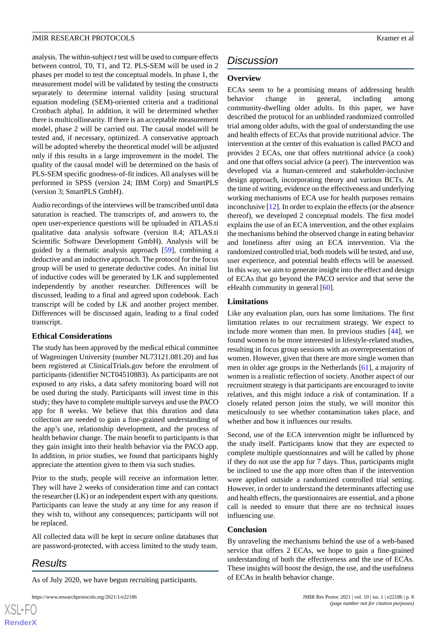analysis. The within-subject *t*test will be used to compare effects between control, T0, T1, and T2. PLS-SEM will be used in 2 phases per model to test the conceptual models. In phase 1, the measurement model will be validated by testing the constructs separately to determine internal validity [using structural equation modeling (SEM)-oriented criteria and a traditional Cronbach alpha]. In addition, it will be determined whether there is multicollinearity. If there is an acceptable measurement model, phase 2 will be carried out. The causal model will be tested and, if necessary, optimized. A conservative approach will be adopted whereby the theoretical model will be adjusted only if this results in a large improvement in the model. The quality of the causal model will be determined on the basis of PLS-SEM specific goodness-of-fit indices. All analyses will be performed in SPSS (version 24; IBM Corp) and SmartPLS (version 3; SmartPLS GmbH).

Audio recordings of the interviews will be transcribed until data saturation is reached. The transcripts of, and answers to, the open user-experience questions will be uploaded in ATLAS.ti qualitative data analysis software (version 8.4; ATLAS.ti Scientific Software Development GmbH). Analysis will be guided by a thematic analysis approach [\[59](#page-10-16)], combining a deductive and an inductive approach. The protocol for the focus group will be used to generate deductive codes. An initial list of inductive codes will be generated by LK and supplemented independently by another researcher. Differences will be discussed, leading to a final and agreed upon codebook. Each transcript will be coded by LK and another project member. Differences will be discussed again, leading to a final coded transcript.

#### **Ethical Considerations**

The study has been approved by the medical ethical committee of Wageningen University (number NL73121.081.20) and has been registered at ClinicalTrials.gov before the enrolment of participants (identifier NCT04510883). As participants are not exposed to any risks, a data safety monitoring board will not be used during the study. Participants will invest time in this study; they have to complete multiple surveys and use the PACO app for 8 weeks. We believe that this duration and data collection are needed to gain a fine-grained understanding of the app's use, relationship development, and the process of health behavior change. The main benefit to participants is that they gain insight into their health behavior via the PACO app. In addition, in prior studies, we found that participants highly appreciate the attention given to them via such studies.

Prior to the study, people will receive an information letter. They will have 2 weeks of consideration time and can contact the researcher (LK) or an independent expert with any questions. Participants can leave the study at any time for any reason if they wish to, without any consequences; participants will not be replaced.

All collected data will be kept in secure online databases that are password-protected, with access limited to the study team.

# *Results*

As of July 2020, we have begun recruiting participants.

```
https://www.researchprotocols.org/2021/1/e22186 JMIR Res Protoc 2021 | vol. 10 | iss. 1 | e22186 | p. 8
```
# *Discussion*

# **Overview**

ECAs seem to be a promising means of addressing health behavior change in general, including among community-dwelling older adults. In this paper, we have described the protocol for an unblinded randomized controlled trial among older adults, with the goal of understanding the use and health effects of ECAs that provide nutritional advice. The intervention at the center of this evaluation is called PACO and provides 2 ECAs, one that offers nutritional advice (a cook) and one that offers social advice (a peer). The intervention was developed via a human-centered and stakeholder-inclusive design approach, incorporating theory and various BCTs. At the time of writing, evidence on the effectiveness and underlying working mechanisms of ECA use for health purposes remains inconclusive [\[12](#page-8-11)]. In order to explain the effects (or the absence thereof), we developed 2 conceptual models. The first model explains the use of an ECA intervention, and the other explains the mechanisms behind the observed change in eating behavior and loneliness after using an ECA intervention. Via the randomized controlled trial, both models will be tested, and use, user experience, and potential health effects will be assessed. In this way, we aim to generate insight into the effect and design of ECAs that go beyond the PACO service and that serve the eHealth community in general [[60\]](#page-10-17).

# **Limitations**

Like any evaluation plan, ours has some limitations. The first limitation relates to our recruitment strategy. We expect to include more women than men. In previous studies [[44\]](#page-10-3), we found women to be more interested in lifestyle-related studies, resulting in focus group sessions with an overrepresentation of women. However, given that there are more single women than men in older age groups in the Netherlands [\[61](#page-10-18)], a majority of women is a realistic reflection of society. Another aspect of our recruitment strategy is that participants are encouraged to invite relatives, and this might induce a risk of contamination. If a closely related person joins the study, we will monitor this meticulously to see whether contamination takes place, and whether and how it influences our results.

Second, use of the ECA intervention might be influenced by the study itself. Participants know that they are expected to complete multiple questionnaires and will be called by phone if they do not use the app for 7 days. Thus, participants might be inclined to use the app more often than if the intervention were applied outside a randomized controlled trial setting. However, in order to understand the determinants affecting use and health effects, the questionnaires are essential, and a phone call is needed to ensure that there are no technical issues influencing use.

#### **Conclusion**

By unraveling the mechanisms behind the use of a web-based service that offers 2 ECAs, we hope to gain a fine-grained understanding of both the effectiveness and the use of ECAs. These insights will boost the design, the use, and the usefulness of ECAs in health behavior change.

 $XS$ -FO **[RenderX](http://www.renderx.com/)**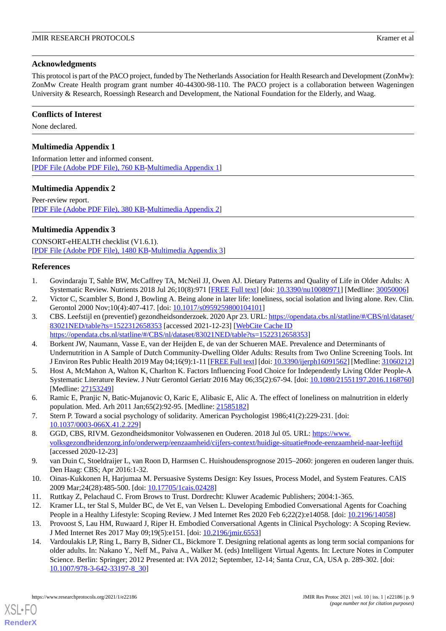# **Acknowledgments**

This protocol is part of the PACO project, funded by The Netherlands Association for Health Research and Development (ZonMw): ZonMw Create Health program grant number 40-44300-98-110. The PACO project is a collaboration between Wageningen University & Research, Roessingh Research and Development, the National Foundation for the Elderly, and Waag.

# **Conflicts of Interest**

<span id="page-8-14"></span>None declared.

# **Multimedia Appendix 1**

<span id="page-8-15"></span>Information letter and informed consent. [[PDF File \(Adobe PDF File\), 760 KB](https://jmir.org/api/download?alt_name=resprot_v10i1e22186_app1.pdf&filename=ce8408e0711a4335dcffe3008eeaff25.pdf)-[Multimedia Appendix 1\]](https://jmir.org/api/download?alt_name=resprot_v10i1e22186_app1.pdf&filename=ce8408e0711a4335dcffe3008eeaff25.pdf)

# **Multimedia Appendix 2**

Peer-review report. [[PDF File \(Adobe PDF File\), 380 KB](https://jmir.org/api/download?alt_name=resprot_v10i1e22186_app2.pdf&filename=7bfc2e6a948b42ce8557db93cc5b026a.pdf)-[Multimedia Appendix 2\]](https://jmir.org/api/download?alt_name=resprot_v10i1e22186_app2.pdf&filename=7bfc2e6a948b42ce8557db93cc5b026a.pdf)

# **Multimedia Appendix 3**

<span id="page-8-0"></span>CONSORT-eHEALTH checklist (V1.6.1). [[PDF File \(Adobe PDF File\), 1480 KB](https://jmir.org/api/download?alt_name=resprot_v10i1e22186_app3.pdf&filename=429d4553fd379f50bc0ca0fd48557a46.pdf)-[Multimedia Appendix 3\]](https://jmir.org/api/download?alt_name=resprot_v10i1e22186_app3.pdf&filename=429d4553fd379f50bc0ca0fd48557a46.pdf)

# <span id="page-8-1"></span>**References**

- <span id="page-8-2"></span>1. Govindaraju T, Sahle BW, McCaffrey TA, McNeil JJ, Owen AJ. Dietary Patterns and Quality of Life in Older Adults: A Systematic Review. Nutrients 2018 Jul 26;10(8):971 [[FREE Full text](https://www.mdpi.com/2072-6643/10/8/971)] [doi: [10.3390/nu10080971\]](http://dx.doi.org/10.3390/nu10080971) [Medline: [30050006](http://www.ncbi.nlm.nih.gov/entrez/query.fcgi?cmd=Retrieve&db=PubMed&list_uids=30050006&dopt=Abstract)]
- 2. Victor C, Scambler S, Bond J, Bowling A. Being alone in later life: loneliness, social isolation and living alone. Rev. Clin. Gerontol 2000 Nov;10(4):407-417. [doi: [10.1017/s0959259800104101](http://dx.doi.org/10.1017/s0959259800104101)]
- <span id="page-8-3"></span>3. CBS. Leefstijl en (preventief) gezondheidsonderzoek. 2020 Apr 23. URL: [https://opendata.cbs.nl/statline/#/CBS/nl/dataset/](https://opendata.cbs.nl/statline/#/CBS/nl/dataset/83021NED/table?ts=1522312658353) [83021NED/table?ts=1522312658353](https://opendata.cbs.nl/statline/#/CBS/nl/dataset/83021NED/table?ts=1522312658353) [accessed 2021-12-23] [\[WebCite Cache ID](http://www.webcitation.org/

                                https://opendata.cbs.nl/statline/#/CBS/nl/dataset/83021NED/table?ts=1522312658353) [https://opendata.cbs.nl/statline/#/CBS/nl/dataset/83021NED/table?ts=1522312658353](http://www.webcitation.org/

                                https://opendata.cbs.nl/statline/#/CBS/nl/dataset/83021NED/table?ts=1522312658353)]
- <span id="page-8-4"></span>4. Borkent JW, Naumann, Vasse E, van der Heijden E, de van der Schueren MAE. Prevalence and Determinants of Undernutrition in A Sample of Dutch Community-Dwelling Older Adults: Results from Two Online Screening Tools. Int J Environ Res Public Health 2019 May 04;16(9):1-11 [[FREE Full text\]](https://www.mdpi.com/resolver?pii=ijerph16091562) [doi: [10.3390/ijerph16091562\]](http://dx.doi.org/10.3390/ijerph16091562) [Medline: [31060212\]](http://www.ncbi.nlm.nih.gov/entrez/query.fcgi?cmd=Retrieve&db=PubMed&list_uids=31060212&dopt=Abstract)
- <span id="page-8-6"></span><span id="page-8-5"></span>5. Host A, McMahon A, Walton K, Charlton K. Factors Influencing Food Choice for Independently Living Older People-A Systematic Literature Review. J Nutr Gerontol Geriatr 2016 May 06;35(2):67-94. [doi: [10.1080/21551197.2016.1168760](http://dx.doi.org/10.1080/21551197.2016.1168760)] [Medline: [27153249](http://www.ncbi.nlm.nih.gov/entrez/query.fcgi?cmd=Retrieve&db=PubMed&list_uids=27153249&dopt=Abstract)]
- <span id="page-8-7"></span>6. Ramic E, Pranjic N, Batic-Mujanovic O, Karic E, Alibasic E, Alic A. The effect of loneliness on malnutrition in elderly population. Med. Arh 2011 Jan;65(2):92-95. [Medline: [21585182](http://www.ncbi.nlm.nih.gov/entrez/query.fcgi?cmd=Retrieve&db=PubMed&list_uids=21585182&dopt=Abstract)]
- <span id="page-8-8"></span>7. Stern P. Toward a social psychology of solidarity. American Psychologist 1986;41(2):229-231. [doi: [10.1037/0003-066X.41.2.229\]](http://dx.doi.org/10.1037/0003-066X.41.2.229)
- <span id="page-8-9"></span>8. GGD, CBS, RIVM. Gezondheidsmonitor Volwassenen en Ouderen. 2018 Jul 05. URL: [https://www.](https://www.volksgezondheidenzorg.info/onderwerp/eenzaamheid/cijfers-context/huidige-situatie#node-eenzaamheid-naar-leeftijd) [volksgezondheidenzorg.info/onderwerp/eenzaamheid/cijfers-context/huidige-situatie#node-eenzaamheid-naar-leeftijd](https://www.volksgezondheidenzorg.info/onderwerp/eenzaamheid/cijfers-context/huidige-situatie#node-eenzaamheid-naar-leeftijd) [accessed 2020-12-23]
- <span id="page-8-11"></span><span id="page-8-10"></span>9. van Duin C, Stoeldraijer L, van Roon D, Harmsen C. Huishoudensprognose 2015–2060: jongeren en ouderen langer thuis. Den Haag: CBS; Apr 2016:1-32.
- <span id="page-8-12"></span>10. Oinas-Kukkonen H, Harjumaa M. Persuasive Systems Design: Key Issues, Process Model, and System Features. CAIS 2009 Mar;24(28):485-500. [doi: [10.17705/1cais.02428\]](http://dx.doi.org/10.17705/1cais.02428)
- <span id="page-8-13"></span>11. Ruttkay Z, Pelachaud C. From Brows to Trust. Dordrecht: Kluwer Academic Publishers; 2004:1-365.
- 12. Kramer LL, ter Stal S, Mulder BC, de Vet E, van Velsen L. Developing Embodied Conversational Agents for Coaching People in a Healthy Lifestyle: Scoping Review. J Med Internet Res 2020 Feb 6;22(2):e14058. [doi: [10.2196/14058\]](http://dx.doi.org/10.2196/14058)
- 13. Provoost S, Lau HM, Ruwaard J, Riper H. Embodied Conversational Agents in Clinical Psychology: A Scoping Review. J Med Internet Res 2017 May 09;19(5):e151. [doi: [10.2196/jmir.6553](http://dx.doi.org/10.2196/jmir.6553)]
- 14. Vardoulakis LP, Ring L, Barry B, Sidner CL, Bickmore T. Designing relational agents as long term social companions for older adults. In: Nakano Y., Neff M., Paiva A., Walker M. (eds) Intelligent Virtual Agents. In: Lecture Notes in Computer Science. Berlin: Springer; 2012 Presented at: IVA 2012; September, 12-14; Santa Cruz, CA, USA p. 289-302. [doi: [10.1007/978-3-642-33197-8\\_30](http://dx.doi.org/10.1007/978-3-642-33197-8_30)]

[XSL](http://www.w3.org/Style/XSL)•FO **[RenderX](http://www.renderx.com/)**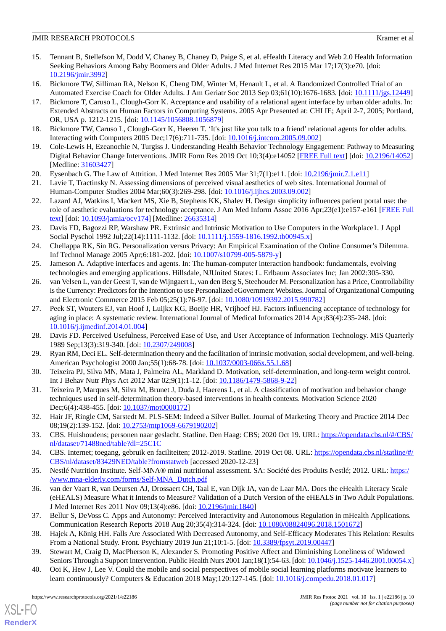- <span id="page-9-0"></span>15. Tennant B, Stellefson M, Dodd V, Chaney B, Chaney D, Paige S, et al. eHealth Literacy and Web 2.0 Health Information Seeking Behaviors Among Baby Boomers and Older Adults. J Med Internet Res 2015 Mar 17;17(3):e70. [doi: [10.2196/jmir.3992](http://dx.doi.org/10.2196/jmir.3992)]
- <span id="page-9-1"></span>16. Bickmore TW, Silliman RA, Nelson K, Cheng DM, Winter M, Henault L, et al. A Randomized Controlled Trial of an Automated Exercise Coach for Older Adults. J Am Geriatr Soc 2013 Sep 03;61(10):1676-1683. [doi: [10.1111/jgs.12449\]](http://dx.doi.org/10.1111/jgs.12449)
- 17. Bickmore T, Caruso L, Clough-Gorr K. Acceptance and usability of a relational agent interface by urban older adults. In: Extended Abstracts on Human Factors in Computing Systems. 2005 Apr Presented at: CHI IE; April 2-7, 2005; Portland, OR, USA p. 1212-1215. [doi: [10.1145/1056808.1056879](http://dx.doi.org/10.1145/1056808.1056879)]
- <span id="page-9-3"></span><span id="page-9-2"></span>18. Bickmore TW, Caruso L, Clough-Gorr K, Heeren T. 'It's just like you talk to a friend' relational agents for older adults. Interacting with Computers 2005 Dec;17(6):711-735. [doi: [10.1016/j.intcom.2005.09.002](http://dx.doi.org/10.1016/j.intcom.2005.09.002)]
- <span id="page-9-4"></span>19. Cole-Lewis H, Ezeanochie N, Turgiss J. Understanding Health Behavior Technology Engagement: Pathway to Measuring Digital Behavior Change Interventions. JMIR Form Res 2019 Oct 10;3(4):e14052 [\[FREE Full text\]](https://formative.jmir.org/2019/4/e14052/) [doi: [10.2196/14052](http://dx.doi.org/10.2196/14052)] [Medline: [31603427](http://www.ncbi.nlm.nih.gov/entrez/query.fcgi?cmd=Retrieve&db=PubMed&list_uids=31603427&dopt=Abstract)]
- <span id="page-9-5"></span>20. Eysenbach G. The Law of Attrition. J Med Internet Res 2005 Mar 31;7(1):e11. [doi: [10.2196/jmir.7.1.e11](http://dx.doi.org/10.2196/jmir.7.1.e11)]
- <span id="page-9-6"></span>21. Lavie T, Tractinsky N. Assessing dimensions of perceived visual aesthetics of web sites. International Journal of Human-Computer Studies 2004 Mar;60(3):269-298. [doi: [10.1016/j.ijhcs.2003.09.002\]](http://dx.doi.org/10.1016/j.ijhcs.2003.09.002)
- <span id="page-9-7"></span>22. Lazard AJ, Watkins I, Mackert MS, Xie B, Stephens KK, Shalev H. Design simplicity influences patient portal use: the role of aesthetic evaluations for technology acceptance. J Am Med Inform Assoc 2016 Apr;23(e1):e157-e161 [[FREE Full](http://europepmc.org/abstract/MED/26635314) [text](http://europepmc.org/abstract/MED/26635314)] [doi: [10.1093/jamia/ocv174](http://dx.doi.org/10.1093/jamia/ocv174)] [Medline: [26635314](http://www.ncbi.nlm.nih.gov/entrez/query.fcgi?cmd=Retrieve&db=PubMed&list_uids=26635314&dopt=Abstract)]
- <span id="page-9-8"></span>23. Davis FD, Bagozzi RP, Warshaw PR. Extrinsic and Intrinsic Motivation to Use Computers in the Workplace1. J Appl Social Pyschol 1992 Jul;22(14):1111-1132. [doi: [10.1111/j.1559-1816.1992.tb00945.x\]](http://dx.doi.org/10.1111/j.1559-1816.1992.tb00945.x)
- <span id="page-9-10"></span><span id="page-9-9"></span>24. Chellappa RK, Sin RG. Personalization versus Privacy: An Empirical Examination of the Online Consumer's Dilemma. Inf Technol Manage 2005 Apr;6:181-202. [doi: [10.1007/s10799-005-5879-y](http://dx.doi.org/10.1007/s10799-005-5879-y)]
- 25. Jameson A. Adaptive interfaces and agents. In: The human-computer interaction handbook: fundamentals, evolving technologies and emerging applications. Hillsdale, NJUnited States: L. Erlbaum Associates Inc; Jan 2002:305-330.
- <span id="page-9-11"></span>26. van Velsen L, van der Geest T, van de Wijngaert L, van den Berg S, Steehouder M. Personalization has a Price, Controllability is the Currency: Predictors for the Intention to use Personalized eGovernment Websites. Journal of Organizational Computing and Electronic Commerce 2015 Feb 05;25(1):76-97. [doi: [10.1080/10919392.2015.990782\]](http://dx.doi.org/10.1080/10919392.2015.990782)
- <span id="page-9-13"></span><span id="page-9-12"></span>27. Peek ST, Wouters EJ, van Hoof J, Luijkx KG, Boeije HR, Vrijhoef HJ. Factors influencing acceptance of technology for aging in place: A systematic review. International Journal of Medical Informatics 2014 Apr;83(4):235-248. [doi: [10.1016/j.ijmedinf.2014.01.004\]](http://dx.doi.org/10.1016/j.ijmedinf.2014.01.004)
- <span id="page-9-14"></span>28. Davis FD. Perceived Usefulness, Perceived Ease of Use, and User Acceptance of Information Technology. MIS Quarterly 1989 Sep;13(3):319-340. [doi: [10.2307/249008](http://dx.doi.org/10.2307/249008)]
- <span id="page-9-15"></span>29. Ryan RM, Deci EL. Self-determination theory and the facilitation of intrinsic motivation, social development, and well-being. American Psychologist 2000 Jan;55(1):68-78. [doi: [10.1037/0003-066x.55.1.68\]](http://dx.doi.org/10.1037/0003-066x.55.1.68)
- <span id="page-9-16"></span>30. Teixeira PJ, Silva MN, Mata J, Palmeira AL, Markland D. Motivation, self-determination, and long-term weight control. Int J Behav Nutr Phys Act 2012 Mar 02;9(1):1-12. [doi: [10.1186/1479-5868-9-22\]](http://dx.doi.org/10.1186/1479-5868-9-22)
- <span id="page-9-17"></span>31. Teixeira P, Marques M, Silva M, Brunet J, Duda J, Haerens L, et al. A classification of motivation and behavior change techniques used in self-determination theory-based interventions in health contexts. Motivation Science 2020 Dec;6(4):438-455. [doi: [10.1037/mot0000172](http://dx.doi.org/10.1037/mot0000172)]
- <span id="page-9-19"></span><span id="page-9-18"></span>32. Hair JF, Ringle CM, Sarstedt M. PLS-SEM: Indeed a Silver Bullet. Journal of Marketing Theory and Practice 2014 Dec 08;19(2):139-152. [doi: [10.2753/mtp1069-6679190202\]](http://dx.doi.org/10.2753/mtp1069-6679190202)
- <span id="page-9-20"></span>33. CBS. Huishoudens; personen naar geslacht. Statline. Den Haag: CBS; 2020 Oct 19. URL: [https://opendata.cbs.nl/#/CBS/](https://opendata.cbs.nl/#/CBS/nl/dataset/71488ned/table?dl=25C1C) [nl/dataset/71488ned/table?dl=25C1C](https://opendata.cbs.nl/#/CBS/nl/dataset/71488ned/table?dl=25C1C)
- 34. CBS. Internet; toegang, gebruik en faciliteiten; 2012-2019. Statline. 2019 Oct 08. URL: [https://opendata.cbs.nl/statline/#/](https://opendata.cbs.nl/statline/#/CBS/nl/dataset/83429NED/table?fromstatweb) [CBS/nl/dataset/83429NED/table?fromstatweb](https://opendata.cbs.nl/statline/#/CBS/nl/dataset/83429NED/table?fromstatweb) [accessed 2020-12-23]
- <span id="page-9-21"></span>35. Nestlé Nutrition Institute. Self-MNA® mini nutritional assessment. SA: Société des Produits Nestlé; 2012. URL: [https:/](https://www.mna-elderly.com/forms/Self-MNA_Dutch.pdf) [/www.mna-elderly.com/forms/Self-MNA\\_Dutch.pdf](https://www.mna-elderly.com/forms/Self-MNA_Dutch.pdf)
- <span id="page-9-23"></span><span id="page-9-22"></span>36. van der Vaart R, van Deursen AJ, Drossaert CH, Taal E, van Dijk JA, van de Laar MA. Does the eHealth Literacy Scale (eHEALS) Measure What it Intends to Measure? Validation of a Dutch Version of the eHEALS in Two Adult Populations. J Med Internet Res 2011 Nov 09;13(4):e86. [doi: [10.2196/jmir.1840\]](http://dx.doi.org/10.2196/jmir.1840)
- <span id="page-9-24"></span>37. Bellur S, DeVoss C. Apps and Autonomy: Perceived Interactivity and Autonomous Regulation in mHealth Applications. Communication Research Reports 2018 Aug 20;35(4):314-324. [doi: [10.1080/08824096.2018.1501672\]](http://dx.doi.org/10.1080/08824096.2018.1501672)
- 38. Hajek A, König HH. Falls Are Associated With Decreased Autonomy, and Self-Efficacy Moderates This Relation: Results From a National Study. Front. Psychiatry 2019 Jun 21;10:1-5. [doi: [10.3389/fpsyt.2019.00447](http://dx.doi.org/10.3389/fpsyt.2019.00447)]
- 39. Stewart M, Craig D, MacPherson K, Alexander S. Promoting Positive Affect and Diminishing Loneliness of Widowed Seniors Through a Support Intervention. Public Health Nurs 2001 Jan;18(1):54-63. [doi: [10.1046/j.1525-1446.2001.00054.x\]](http://dx.doi.org/10.1046/j.1525-1446.2001.00054.x)
- 40. Ooi K, Hew J, Lee V. Could the mobile and social perspectives of mobile social learning platforms motivate learners to learn continuously? Computers & Education 2018 May;120:127-145. [doi: [10.1016/j.compedu.2018.01.017](http://dx.doi.org/10.1016/j.compedu.2018.01.017)]

 $XS$  • FO **[RenderX](http://www.renderx.com/)**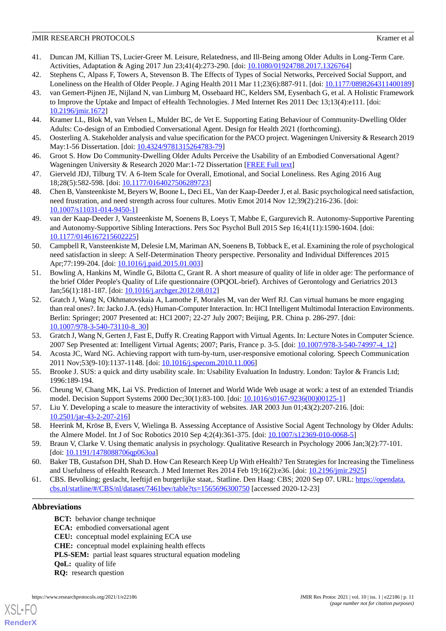#### **JMIR RESEARCH PROTOCOLS** Kramer et al.

- <span id="page-10-0"></span>41. Duncan JM, Killian TS, Lucier-Greer M. Leisure, Relatedness, and Ill-Being among Older Adults in Long-Term Care. Activities, Adaptation & Aging 2017 Jun 23;41(4):273-290. [doi: [10.1080/01924788.2017.1326764\]](http://dx.doi.org/10.1080/01924788.2017.1326764)
- <span id="page-10-2"></span><span id="page-10-1"></span>42. Stephens C, Alpass F, Towers A, Stevenson B. The Effects of Types of Social Networks, Perceived Social Support, and Loneliness on the Health of Older People. J Aging Health 2011 Mar 11;23(6):887-911. [doi: [10.1177/0898264311400189](http://dx.doi.org/10.1177/0898264311400189)]
- 43. van Gemert-Pijnen JE, Nijland N, van Limburg M, Ossebaard HC, Kelders SM, Eysenbach G, et al. A Holistic Framework to Improve the Uptake and Impact of eHealth Technologies. J Med Internet Res 2011 Dec 13;13(4):e111. [doi: [10.2196/jmir.1672](http://dx.doi.org/10.2196/jmir.1672)]
- <span id="page-10-4"></span><span id="page-10-3"></span>44. Kramer LL, Blok M, van Velsen L, Mulder BC, de Vet E. Supporting Eating Behaviour of Community-Dwelling Older Adults: Co-design of an Embodied Conversational Agent. Design for Health 2021 (forthcoming).
- <span id="page-10-5"></span>45. Oosterling A. Stakeholder analysis and value specification for the PACO project. Wageningen University & Research 2019 May:1-56 Dissertation. [doi: [10.4324/9781315264783-79\]](http://dx.doi.org/10.4324/9781315264783-79)
- <span id="page-10-6"></span>46. Groot S. How Do Community-Dwelling Older Adults Perceive the Usability of an Embodied Conversational Agent? Wageningen University & Research 2020 Mar:1-72 Dissertation [\[FREE Full text\]](https://edepot.wur.nl/526915)
- <span id="page-10-7"></span>47. Gierveld JDJ, Tilburg TV. A 6-Item Scale for Overall, Emotional, and Social Loneliness. Res Aging 2016 Aug 18;28(5):582-598. [doi: [10.1177/0164027506289723\]](http://dx.doi.org/10.1177/0164027506289723)
- 48. Chen B, Vansteenkiste M, Beyers W, Boone L, Deci EL, Van der Kaap-Deeder J, et al. Basic psychological need satisfaction, need frustration, and need strength across four cultures. Motiv Emot 2014 Nov 12;39(2):216-236. [doi: [10.1007/s11031-014-9450-1\]](http://dx.doi.org/10.1007/s11031-014-9450-1)
- <span id="page-10-8"></span>49. van der Kaap-Deeder J, Vansteenkiste M, Soenens B, Loeys T, Mabbe E, Gargurevich R. Autonomy-Supportive Parenting and Autonomy-Supportive Sibling Interactions. Pers Soc Psychol Bull 2015 Sep 16;41(11):1590-1604. [doi: [10.1177/0146167215602225\]](http://dx.doi.org/10.1177/0146167215602225)
- <span id="page-10-9"></span>50. Campbell R, Vansteenkiste M, Delesie LM, Mariman AN, Soenens B, Tobback E, et al. Examining the role of psychological need satisfaction in sleep: A Self-Determination Theory perspective. Personality and Individual Differences 2015 Apr;77:199-204. [doi: [10.1016/j.paid.2015.01.003\]](http://dx.doi.org/10.1016/j.paid.2015.01.003)
- <span id="page-10-10"></span>51. Bowling A, Hankins M, Windle G, Bilotta C, Grant R. A short measure of quality of life in older age: The performance of the brief Older People's Quality of Life questionnaire (OPQOL-brief). Archives of Gerontology and Geriatrics 2013 Jan;56(1):181-187. [doi: [10.1016/j.archger.2012.08.012](http://dx.doi.org/10.1016/j.archger.2012.08.012)]
- 52. Gratch J, Wang N, Okhmatovskaia A, Lamothe F, Morales M, van der Werf RJ. Can virtual humans be more engaging than real ones?. In: Jacko J.A. (eds) Human-Computer Interaction. In: HCI Intelligent Multimodal Interaction Environments. Berlin: Springer; 2007 Presented at: HCI 2007; 22-27 July 2007; Beijing, P.R. China p. 286-297. [doi: [10.1007/978-3-540-73110-8\\_30](http://dx.doi.org/10.1007/978-3-540-73110-8_30)]
- <span id="page-10-12"></span><span id="page-10-11"></span>53. Gratch J, Wang N, Gerten J, Fast E, Duffy R. Creating Rapport with Virtual Agents. In: Lecture Notes in Computer Science. 2007 Sep Presented at: Intelligent Virtual Agents; 2007; Paris, France p. 3-5. [doi: [10.1007/978-3-540-74997-4\\_12](http://dx.doi.org/10.1007/978-3-540-74997-4_12)]
- <span id="page-10-13"></span>54. Acosta JC, Ward NG. Achieving rapport with turn-by-turn, user-responsive emotional coloring. Speech Communication 2011 Nov;53(9-10):1137-1148. [doi: [10.1016/j.specom.2010.11.006\]](http://dx.doi.org/10.1016/j.specom.2010.11.006)
- <span id="page-10-14"></span>55. Brooke J. SUS: a quick and dirty usability scale. In: Usability Evaluation In Industry. London: Taylor & Francis Ltd; 1996:189-194.
- <span id="page-10-15"></span>56. Cheung W, Chang MK, Lai VS. Prediction of Internet and World Wide Web usage at work: a test of an extended Triandis model. Decision Support Systems 2000 Dec;30(1):83-100. [doi: [10.1016/s0167-9236\(00\)00125-1\]](http://dx.doi.org/10.1016/s0167-9236(00)00125-1)
- <span id="page-10-17"></span><span id="page-10-16"></span>57. Liu Y. Developing a scale to measure the interactivity of websites. JAR 2003 Jun 01;43(2):207-216. [doi: [10.2501/jar-43-2-207-216](http://dx.doi.org/10.2501/jar-43-2-207-216)]
- <span id="page-10-18"></span>58. Heerink M, Kröse B, Evers V, Wielinga B. Assessing Acceptance of Assistive Social Agent Technology by Older Adults: the Almere Model. Int J of Soc Robotics 2010 Sep 4;2(4):361-375. [doi: [10.1007/s12369-010-0068-5](http://dx.doi.org/10.1007/s12369-010-0068-5)]
- 59. Braun V, Clarke V. Using thematic analysis in psychology. Qualitative Research in Psychology 2006 Jan;3(2):77-101. [doi: [10.1191/1478088706qp063oa\]](http://dx.doi.org/10.1191/1478088706qp063oa)
- 60. Baker TB, Gustafson DH, Shah D. How Can Research Keep Up With eHealth? Ten Strategies for Increasing the Timeliness and Usefulness of eHealth Research. J Med Internet Res 2014 Feb 19;16(2):e36. [doi: [10.2196/jmir.2925](http://dx.doi.org/10.2196/jmir.2925)]
- 61. CBS. Bevolking; geslacht, leeftijd en burgerlijke staat,. Statline. Den Haag: CBS; 2020 Sep 07. URL: [https://opendata.](https://opendata.cbs.nl/statline/#/CBS/nl/dataset/7461bev/table?ts=1565696300750) [cbs.nl/statline/#/CBS/nl/dataset/7461bev/table?ts=1565696300750](https://opendata.cbs.nl/statline/#/CBS/nl/dataset/7461bev/table?ts=1565696300750) [accessed 2020-12-23]

# **Abbreviations**

[XSL](http://www.w3.org/Style/XSL)•FO **[RenderX](http://www.renderx.com/)**

**BCT:** behavior change technique **ECA:** embodied conversational agent **CEU:** conceptual model explaining ECA use **CHE:** conceptual model explaining health effects **PLS-SEM:** partial least squares structural equation modeling **QoL:** quality of life **RQ:** research question